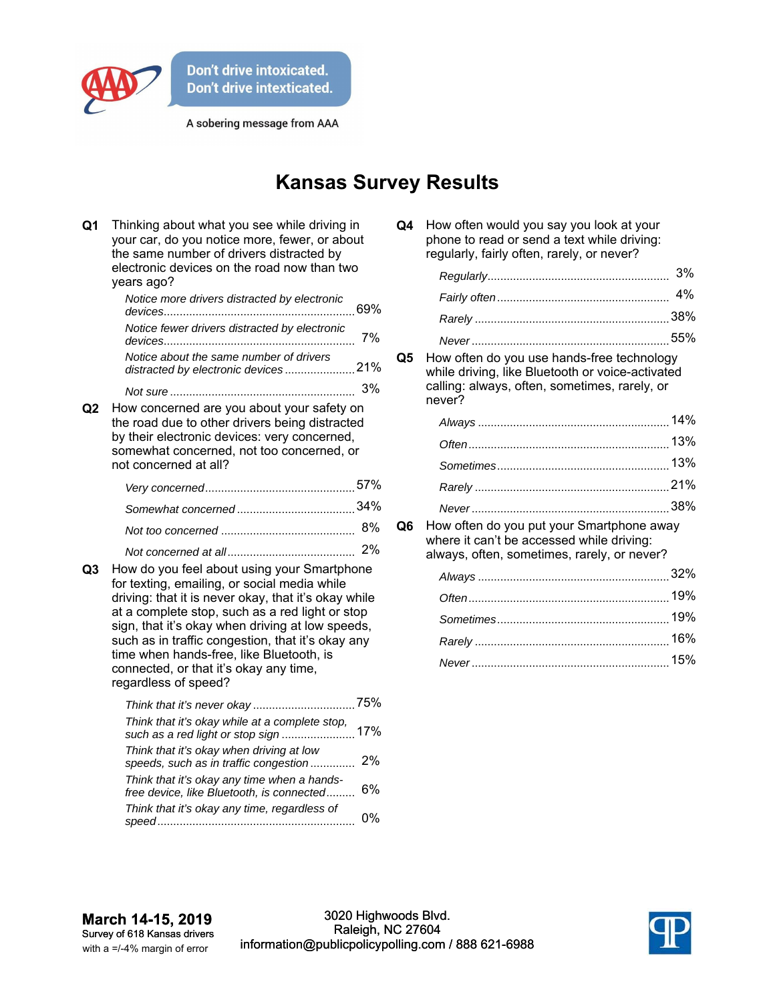

A sobering message from AAA

## **Kansas Survey Results**

| Q <sub>1</sub> | Thinking about what you see while driving in<br>your car, do you notice more, fewer, or about<br>the same number of drivers distracted by<br>electronic devices on the road now than two<br>years ago?                                                                                                                                                                                                                              |    |
|----------------|-------------------------------------------------------------------------------------------------------------------------------------------------------------------------------------------------------------------------------------------------------------------------------------------------------------------------------------------------------------------------------------------------------------------------------------|----|
|                | Notice more drivers distracted by electronic                                                                                                                                                                                                                                                                                                                                                                                        |    |
|                | Notice fewer drivers distracted by electronic                                                                                                                                                                                                                                                                                                                                                                                       | 7% |
|                | Notice about the same number of drivers<br>distracted by electronic devices21%                                                                                                                                                                                                                                                                                                                                                      |    |
|                |                                                                                                                                                                                                                                                                                                                                                                                                                                     | 3% |
| Q2             | How concerned are you about your safety on<br>the road due to other drivers being distracted<br>by their electronic devices: very concerned,<br>somewhat concerned, not too concerned, or<br>not concerned at all?                                                                                                                                                                                                                  |    |
|                |                                                                                                                                                                                                                                                                                                                                                                                                                                     |    |
|                |                                                                                                                                                                                                                                                                                                                                                                                                                                     |    |
|                |                                                                                                                                                                                                                                                                                                                                                                                                                                     | 8% |
| Q3             | 2%<br>How do you feel about using your Smartphone<br>for texting, emailing, or social media while<br>driving: that it is never okay, that it's okay while<br>at a complete stop, such as a red light or stop<br>sign, that it's okay when driving at low speeds,<br>such as in traffic congestion, that it's okay any<br>time when hands-free, like Bluetooth, is<br>connected, or that it's okay any time,<br>regardless of speed? |    |
|                | Think that it's okay while at a complete stop,                                                                                                                                                                                                                                                                                                                                                                                      |    |
|                | Think that it's okay when driving at low<br>speeds, such as in traffic congestion                                                                                                                                                                                                                                                                                                                                                   | 2% |
|                | Think that it's okay any time when a hands-<br>free device, like Bluetooth, is connected                                                                                                                                                                                                                                                                                                                                            | 6% |
|                | Think that it's okay any time, regardless of                                                                                                                                                                                                                                                                                                                                                                                        | 0% |

| Q4 | How often would you say you look at your    |
|----|---------------------------------------------|
|    | phone to read or send a text while driving: |
|    | regularly, fairly often, rarely, or never?  |

**Q5** How often do you use hands-free technology while driving, like Bluetooth or voice-activated calling: always, often, sometimes, rarely, or never?

**Q6** How often do you put your Smartphone away where it can't be accessed while driving: always, often, sometimes, rarely, or never?